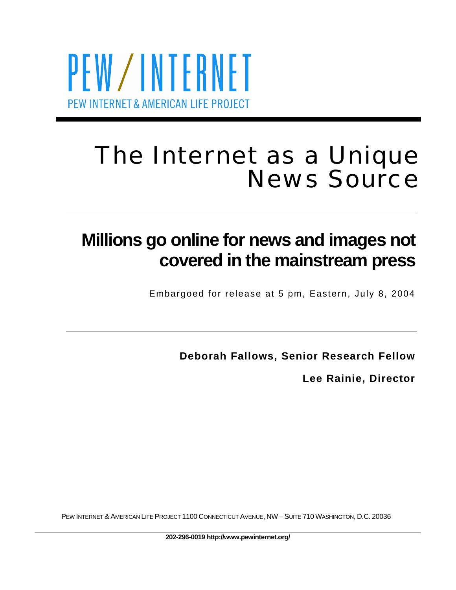

# The Internet as a Unique News Source

## **Millions go online for news and images not covered in the mainstream press**

Embargoed for release at 5 pm, Eastern, July 8, 2004

**Deborah Fallows, Senior Research Fellow** 

**Lee Rainie, Director** 

PEW INTERNET & AMERICAN LIFE PROJECT 1100 CONNECTICUT AVENUE, NW – SUITE 710 WASHINGTON, D.C. 20036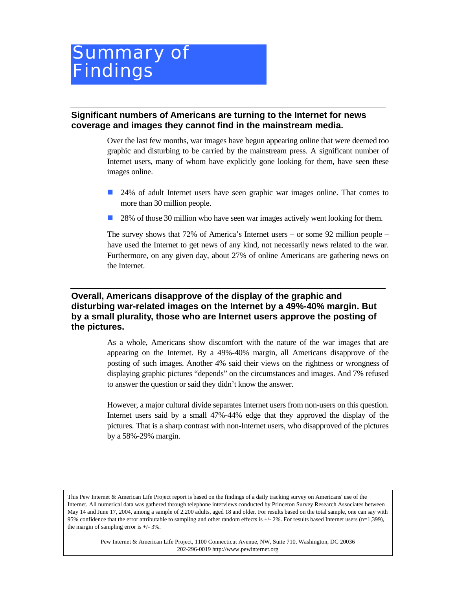## <span id="page-1-0"></span>Summary of **Findings**

**Significant numbers of Americans are turning to the Internet for news coverage and images they cannot find in the mainstream media.** 

> Over the last few months, war images have begun appearing online that were deemed too graphic and disturbing to be carried by the mainstream press. A significant number of Internet users, many of whom have explicitly gone looking for them, have seen these images online.

- 24% of adult Internet users have seen graphic war images online. That comes to more than 30 million people.
- 28% of those 30 million who have seen war images actively went looking for them.

The survey shows that 72% of America's Internet users – or some 92 million people – have used the Internet to get news of any kind, not necessarily news related to the war. Furthermore, on any given day, about 27% of online Americans are gathering news on the Internet.

#### **Overall, Americans disapprove of the display of the graphic and disturbing war-related images on the Internet by a 49%-40% margin. But by a small plurality, those who are Internet users approve the posting of the pictures.**

As a whole, Americans show discomfort with the nature of the war images that are appearing on the Internet. By a 49%-40% margin, all Americans disapprove of the posting of such images. Another 4% said their views on the rightness or wrongness of displaying graphic pictures "depends" on the circumstances and images. And 7% refused to answer the question or said they didn't know the answer.

However, a major cultural divide separates Internet users from non-users on this question. Internet users said by a small 47%-44% edge that they approved the display of the pictures. That is a sharp contrast with non-Internet users, who disapproved of the pictures by a 58%-29% margin.

This Pew Internet & American Life Project report is based on the findings of a daily tracking survey on Americans' use of the Internet. All numerical data was gathered through telephone interviews conducted by Princeton Survey Research Associates between May 14 and June 17, 2004, among a sample of 2,200 adults, aged 18 and older. For results based on the total sample, one can say with 95% confidence that the error attributable to sampling and other random effects is  $+/- 2\%$ . For results based Internet users (n=1,399), the margin of sampling error is +/- 3%.

> Pew Internet & American Life Project, 1100 Connecticut Avenue, NW, Suite 710, Washington, DC 20036 202-296-0019 http://www.pewinternet.org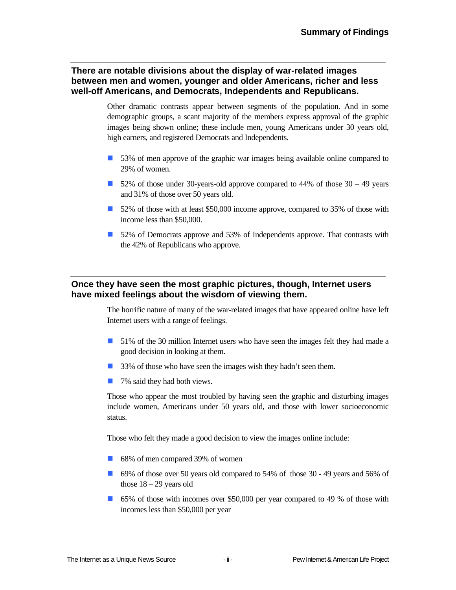#### **There are notable divisions about the display of war-related images between men and women, younger and older Americans, richer and less well-off Americans, and Democrats, Independents and Republicans.**

Other dramatic contrasts appear between segments of the population. And in some demographic groups, a scant majority of the members express approval of the graphic images being shown online; these include men, young Americans under 30 years old, high earners, and registered Democrats and Independents.

- 53% of men approve of the graphic war images being available online compared to 29% of women.
- 52% of those under 30-years-old approve compared to 44% of those  $30 49$  years and 31% of those over 50 years old.
- 52% of those with at least \$50,000 income approve, compared to 35% of those with income less than \$50,000.
- 52% of Democrats approve and 53% of Independents approve. That contrasts with the 42% of Republicans who approve.

#### **Once they have seen the most graphic pictures, though, Internet users have mixed feelings about the wisdom of viewing them.**

The horrific nature of many of the war-related images that have appeared online have left Internet users with a range of feelings.

- 51% of the 30 million Internet users who have seen the images felt they had made a good decision in looking at them.
- 33% of those who have seen the images wish they hadn't seen them.
- 7% said they had both views.

Those who appear the most troubled by having seen the graphic and disturbing images include women, Americans under 50 years old, and those with lower socioeconomic status.

Those who felt they made a good decision to view the images online include:

- 68% of men compared 39% of women
- 69% of those over 50 years old compared to 54% of those 30 49 years and 56% of those  $18 - 29$  years old
- 65% of those with incomes over \$50,000 per year compared to 49 % of those with incomes less than \$50,000 per year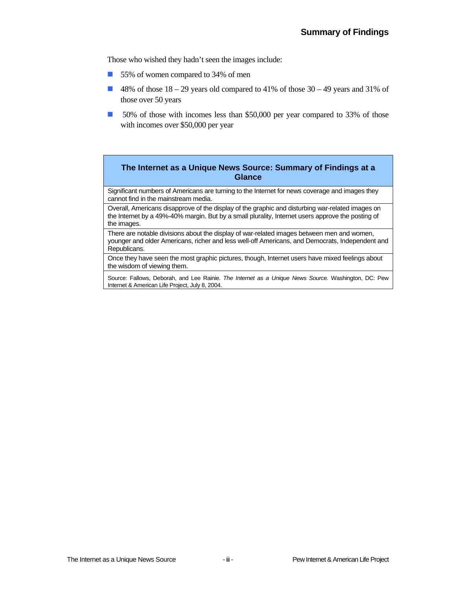Those who wished they hadn't seen the images include:

- 55% of women compared to 34% of men
- 48% of those  $18 29$  years old compared to 41% of those  $30 49$  years and 31% of those over 50 years
- 50% of those with incomes less than \$50,000 per year compared to 33% of those with incomes over \$50,000 per year

#### **The Internet as a Unique News Source: Summary of Findings at a Glance**

Significant numbers of Americans are turning to the Internet for news coverage and images they cannot find in the mainstream media.

Overall, Americans disapprove of the display of the graphic and disturbing war-related images on the Internet by a 49%-40% margin. But by a small plurality, Internet users approve the posting of the images.

There are notable divisions about the display of war-related images between men and women, younger and older Americans, richer and less well-off Americans, and Democrats, Independent and Republicans.

Once they have seen the most graphic pictures, though, Internet users have mixed feelings about the wisdom of viewing them.

Source: Fallows, Deborah, and Lee Rainie. *The Internet as a Unique News Source.* Washington, DC: Pew Internet & American Life Project, July 8, 2004.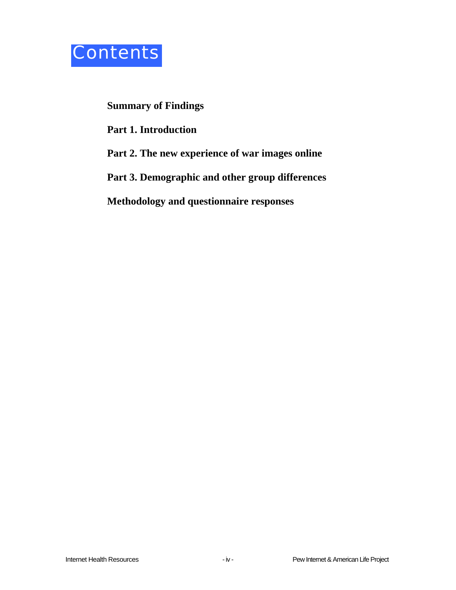

**[Summary of Findings](#page-1-0)** 

**Part 1. [Introduction](#page-5-0)** 

**Part 2. [The new experience of war images online](#page-6-0)** 

**Part 3. [Demographic and other group differences](#page-8-0)** 

**[Methodology and questionnaire responses](#page-13-0)**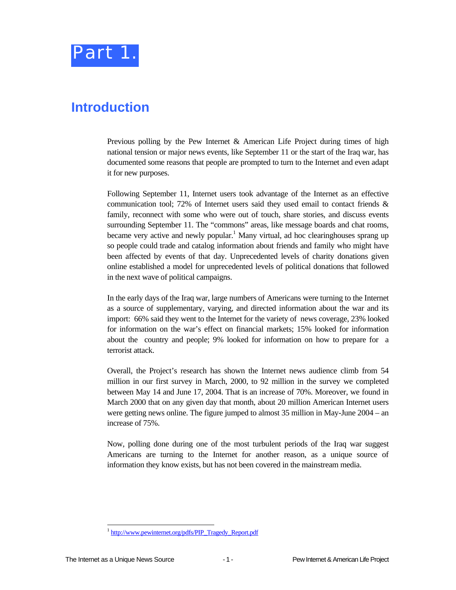

### <span id="page-5-0"></span>**Introduction**

Previous polling by the Pew Internet & American Life Project during times of high national tension or major news events, like September 11 or the start of the Iraq war, has documented some reasons that people are prompted to turn to the Internet and even adapt it for new purposes.

Following September 11, Internet users took advantage of the Internet as an effective communication tool; 72% of Internet users said they used email to contact friends & family, reconnect with some who were out of touch, share stories, and discuss events surrounding September 11. The "commons" areas, like message boards and chat rooms, became very active and newly popular.<sup>[1](#page-5-1)</sup> Many virtual, ad hoc clearinghouses sprang up so people could trade and catalog information about friends and family who might have been affected by events of that day. Unprecedented levels of charity donations given online established a model for unprecedented levels of political donations that followed in the next wave of political campaigns.

In the early days of the Iraq war, large numbers of Americans were turning to the Internet as a source of supplementary, varying, and directed information about the war and its import: 66% said they went to the Internet for the variety of news coverage, 23% looked for information on the war's effect on financial markets; 15% looked for information about the country and people; 9% looked for information on how to prepare for a terrorist attack.

Overall, the Project's research has shown the Internet news audience climb from 54 million in our first survey in March, 2000, to 92 million in the survey we completed between May 14 and June 17, 2004. That is an increase of 70%. Moreover, we found in March 2000 that on any given day that month, about 20 million American Internet users were getting news online. The figure jumped to almost 35 million in May-June 2004 – an increase of 75%.

Now, polling done during one of the most turbulent periods of the Iraq war suggest Americans are turning to the Internet for another reason, as a unique source of information they know exists, but has not been covered in the mainstream media.

<span id="page-5-1"></span><sup>&</sup>lt;sup>1</sup> http://www.pewinternet.org/pdfs/PIP\_Tragedy\_Report.pdf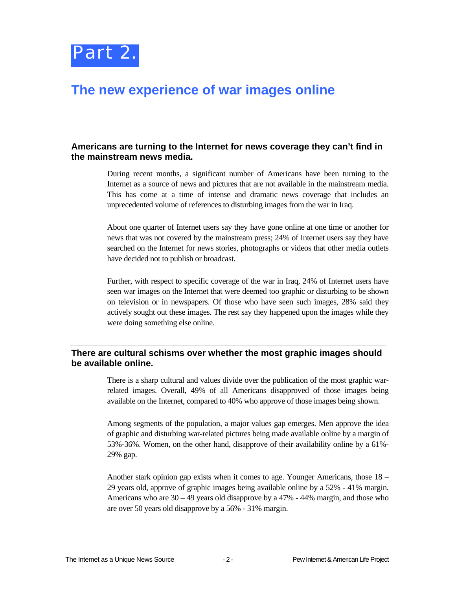

### <span id="page-6-0"></span>**The new experience of war images online**

#### **Americans are turning to the Internet for news coverage they can't find in the mainstream news media.**

During recent months, a significant number of Americans have been turning to the Internet as a source of news and pictures that are not available in the mainstream media. This has come at a time of intense and dramatic news coverage that includes an unprecedented volume of references to disturbing images from the war in Iraq.

About one quarter of Internet users say they have gone online at one time or another for news that was not covered by the mainstream press; 24% of Internet users say they have searched on the Internet for news stories, photographs or videos that other media outlets have decided not to publish or broadcast.

Further, with respect to specific coverage of the war in Iraq, 24% of Internet users have seen war images on the Internet that were deemed too graphic or disturbing to be shown on television or in newspapers. Of those who have seen such images, 28% said they actively sought out these images. The rest say they happened upon the images while they were doing something else online.

#### **There are cultural schisms over whether the most graphic images should be available online.**

There is a sharp cultural and values divide over the publication of the most graphic warrelated images. Overall, 49% of all Americans disapproved of those images being available on the Internet, compared to 40% who approve of those images being shown.

Among segments of the population, a major values gap emerges. Men approve the idea of graphic and disturbing war-related pictures being made available online by a margin of 53%-36%. Women, on the other hand, disapprove of their availability online by a 61%- 29% gap.

Another stark opinion gap exists when it comes to age. Younger Americans, those 18 – 29 years old, approve of graphic images being available online by a 52% - 41% margin. Americans who are 30 – 49 years old disapprove by a 47% - 44% margin, and those who are over 50 years old disapprove by a 56% - 31% margin.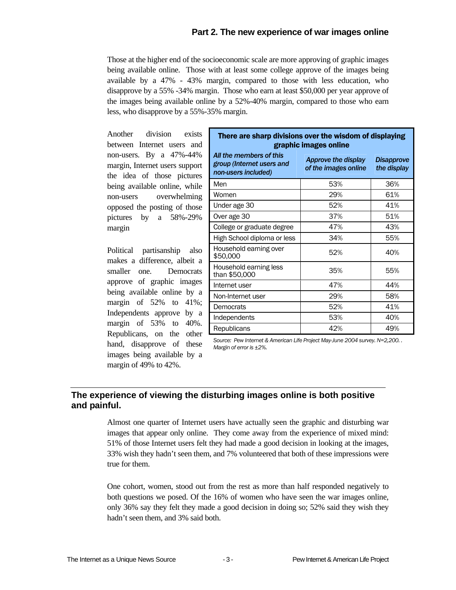Those at the higher end of the socioeconomic scale are more approving of graphic images being available online. Those with at least some college approve of the images being available by a 47% - 43% margin, compared to those with less education, who disapprove by a 55% -34% margin. Those who earn at least \$50,000 per year approve of the images being available online by a 52%-40% margin, compared to those who earn less, who disapprove by a 55%-35% margin.

Another division exists between Internet users and non-users. By a 47%-44% margin, Internet users support the idea of those pictures being available online, while non-users overwhelming opposed the posting of those pictures by a 58%-29% margin

Political partisanship also makes a difference, albeit a smaller one. Democrats approve of graphic images being available online by a margin of 52% to 41%; Independents approve by a margin of 53% to 40%. Republicans, on the other hand, disapprove of these images being available by a margin of 49% to 42%.

| graphic images online                                                       |                                             |                                  |  |
|-----------------------------------------------------------------------------|---------------------------------------------|----------------------------------|--|
| All the members of this<br>group (Internet users and<br>non-users included) | Approve the display<br>of the images online | <b>Disapprove</b><br>the display |  |
| Men                                                                         | 53%                                         | 36%                              |  |
| Women                                                                       | 29%                                         | 61%                              |  |
| Under age 30                                                                | 52%                                         | 41%                              |  |
| Over age 30                                                                 | 37%                                         | 51%                              |  |
| College or graduate degree                                                  | 47%                                         | 43%                              |  |
| High School diploma or less                                                 | 34%                                         | 55%                              |  |
| Household earning over<br>\$50,000                                          | 52%                                         | 40%                              |  |
| Household earning less<br>than \$50,000                                     | 35%                                         | 55%                              |  |
| Internet user                                                               | 47%                                         | 44%                              |  |
| Non-Internet user                                                           | 29%                                         | 58%                              |  |
| Democrats                                                                   | 52%                                         | 41%                              |  |
| Independents                                                                | 53%                                         | 40%                              |  |
| Republicans                                                                 | 42%                                         | 49%                              |  |

There are sharp divisions over the wisdom of displaying

Source: Pew Internet & American Life Project May-June 2004 survey. N=2,200. . *Margin of error is ±2%.* 

#### **The experience of viewing the disturbing images online is both positive and painful.**

Almost one quarter of Internet users have actually seen the graphic and disturbing war images that appear only online. They come away from the experience of mixed mind: 51% of those Internet users felt they had made a good decision in looking at the images, 33% wish they hadn't seen them, and 7% volunteered that both of these impressions were true for them.

One cohort, women, stood out from the rest as more than half responded negatively to both questions we posed. Of the 16% of women who have seen the war images online, only 36% say they felt they made a good decision in doing so; 52% said they wish they hadn't seen them, and 3% said both.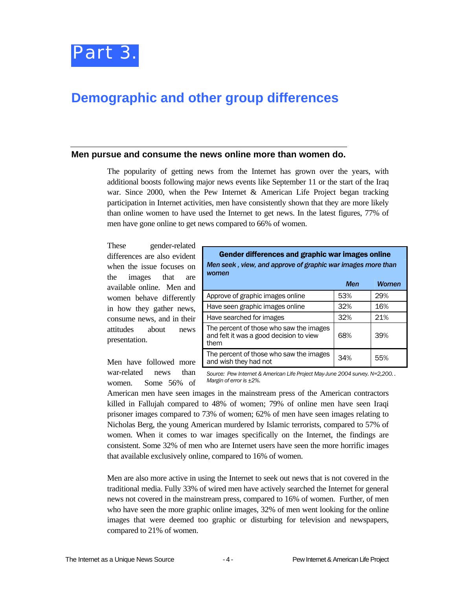

### <span id="page-8-0"></span>**Demographic and other group differences**

#### **Men pursue and consume the news online more than women do.**

them

The popularity of getting news from the Internet has grown over the years, with additional boosts following major news events like September 11 or the start of the Iraq war. Since 2000, when the Pew Internet & American Life Project began tracking participation in Internet activities, men have consistently shown that they are more likely than online women to have used the Internet to get news. In the latest figures, 77% of men have gone online to get news compared to 66% of women.

These gender-related  $\blacksquare$ differences are also evident when the issue focuses on the images that are available online. Men and women behave differently in how they gather news, consume news, and in their attitudes about news presentation.

Men have followed more war-related news than women. Some 56% of

| Gender differences and graphic war images online<br>Men seek, view, and approve of graphic war images more than<br>women |     |       |
|--------------------------------------------------------------------------------------------------------------------------|-----|-------|
|                                                                                                                          | Men | Women |
| Approve of graphic images online                                                                                         | 53% | 29%   |
| Have seen graphic images online                                                                                          | 32% | 16%   |
| Have searched for images                                                                                                 | 32% | 21%   |

Source: Pew Internet & American Life Project May-June 2004 survey. N=2,200. . *Margin of error is ±2%.* 

The percent of those who saw the linages  $\vert$  34%  $\vert$  55% and wish they had not

American men have seen images in the mainstream press of the American contractors killed in Fallujah compared to 48% of women; 79% of online men have seen Iraqi prisoner images compared to 73% of women; 62% of men have seen images relating to Nicholas Berg, the young American murdered by Islamic terrorists, compared to 57% of women. When it comes to war images specifically on the Internet, the findings are consistent. Some 32% of men who are Internet users have seen the more horrific images that available exclusively online, compared to 16% of women.

The percent of those who saw the images and felt it was a good decision to view

The percent of those who saw the images

Men are also more active in using the Internet to seek out news that is not covered in the traditional media. Fully 33% of wired men have actively searched the Internet for general news not covered in the mainstream press, compared to 16% of women. Further, of men who have seen the more graphic online images, 32% of men went looking for the online images that were deemed too graphic or disturbing for television and newspapers, compared to 21% of women.

68% 39%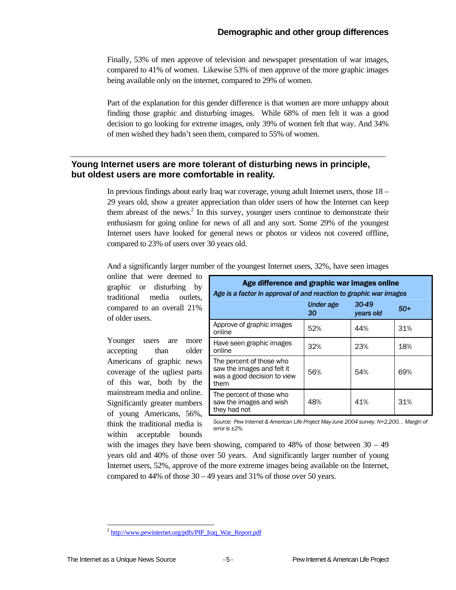Finally, 53% of men approve of television and newspaper presentation of war images, compared to 41% of women. Likewise 53% of men approve of the more graphic images being available only on the internet, compared to 29% of women.

Part of the explanation for this gender difference is that women are more unhappy about finding those graphic and disturbing images. While 68% of men felt it was a good decision to go looking for extreme images, only 39% of women felt that way. And 34% of men wished they hadn't seen them, compared to 55% of women.

#### **Young Internet users are more tolerant of disturbing news in principle, but oldest users are more comfortable in reality.**

In previous findings about early Iraq war coverage, young adult Internet users, those 18 – 29 years old, show a greater appreciation than older users of how the Internet can keep themabreast of the news.<sup>2</sup> In this survey, younger users continue to demonstrate their enthusiasm for going online for news of all and any sort. Some 29% of the youngest Internet users have looked for general news or photos or videos not covered offline, compared to 23% of users over 30 years old.

And a significantly larger number of the youngest Internet users, 32%, have seen images

online that were deemed to graphic or disturbing by traditional media outlets, compared to an overall 21% of older users.

Younger users are more accepting than older Americans of graphic news coverage of the ugliest parts of this war, both by the mainstream media and online. Significantly greater numbers of young Americans, 56%, think the traditional media is within acceptable bounds

| Age difference and graphic war images online<br>Age is a factor in approval of and reaction to graphic war images |                 |                      |       |
|-------------------------------------------------------------------------------------------------------------------|-----------------|----------------------|-------|
|                                                                                                                   | Under age<br>30 | $30-49$<br>years old | $50+$ |
| Approve of graphic images<br>online                                                                               | 52%             | 44%                  | 31%   |
| Have seen graphic images<br>online                                                                                | 32%             | 23%                  | 18%   |
| The percent of those who<br>saw the images and felt it<br>was a good decision to view<br>them                     | 56%             | 54%                  | 69%   |
| The percent of those who<br>saw the images and wish<br>they had not                                               | 48%             | 41%                  | 31%   |

*Source: Pew Internet & American Life Project May-June 2004 survey. N=2,200. . Margin of error is ±2%.* 

with the images they have been showing, compared to  $48\%$  of those between  $30 - 49$ years old and 40% of those over 50 years. And significantly larger number of young Internet users, 52%, approve of the more extreme images being available on the Internet, compared to 44% of those 30 – 49 years and 31% of those over 50 years.

<span id="page-9-0"></span><sup>&</sup>lt;sup>2</sup> http://www.pewinternet.org/pdfs/PIP\_Iraq\_War\_Report.pdf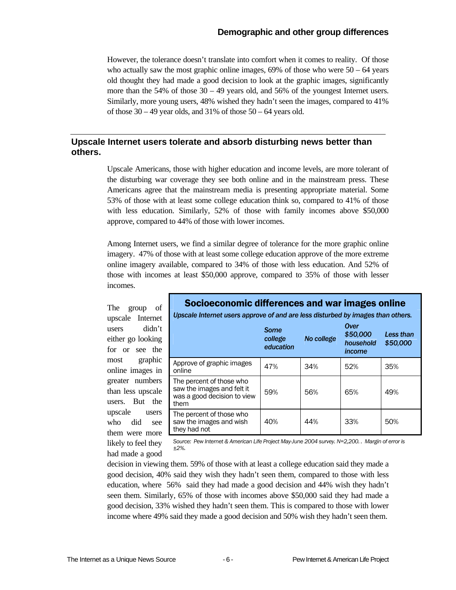However, the tolerance doesn't translate into comfort when it comes to reality. Of those who actually saw the most graphic online images,  $69\%$  of those who were  $50 - 64$  years old thought they had made a good decision to look at the graphic images, significantly more than the  $54\%$  of those  $30 - 49$  years old, and  $56\%$  of the youngest Internet users. Similarly, more young users, 48% wished they hadn't seen the images, compared to 41% of those  $30 - 49$  year olds, and  $31\%$  of those  $50 - 64$  years old.

#### **Upscale Internet users tolerate and absorb disturbing news better than others.**

Upscale Americans, those with higher education and income levels, are more tolerant of the disturbing war coverage they see both online and in the mainstream press. These Americans agree that the mainstream media is presenting appropriate material. Some 53% of those with at least some college education think so, compared to 41% of those with less education. Similarly, 52% of those with family incomes above \$50,000 approve, compared to 44% of those with lower incomes.

Among Internet users, we find a similar degree of tolerance for the more graphic online imagery. 47% of those with at least some college education approve of the more extreme online imagery available, compared to 34% of those with less education. And 52% of those with incomes at least \$50,000 approve, compared to 35% of those with lesser incomes.

The group of upscale Internet users didn't either go looking for or see the most graphic online images in greater numbers than less upscale users. But the upscale users who did see them were more likely to feel they had made a good

#### Socioeconomic differences and war images online

*Upscale Internet users approve of and are less disturbed by images than others.* 

|                                                                                               | Some<br>college<br>education | No college | Over<br>\$50,000<br>household<br>income | Less than<br>\$50,000 |
|-----------------------------------------------------------------------------------------------|------------------------------|------------|-----------------------------------------|-----------------------|
| Approve of graphic images<br>online                                                           | 47%                          | 34%        | 52%                                     | 35%                   |
| The percent of those who<br>saw the images and felt it<br>was a good decision to view<br>them | 59%                          | 56%        | 65%                                     | 49%                   |
| The percent of those who<br>saw the images and wish<br>they had not                           | 40%                          | 44%        | 33%                                     | 50%                   |

*Source: Pew Internet & American Life Project May-June 2004 survey. N=2,200. . Margin of error is ±2%.* 

decision in viewing them. 59% of those with at least a college education said they made a good decision, 40% said they wish they hadn't seen them, compared to those with less education, where 56% said they had made a good decision and 44% wish they hadn't seen them. Similarly, 65% of those with incomes above \$50,000 said they had made a good decision, 33% wished they hadn't seen them. This is compared to those with lower income where 49% said they made a good decision and 50% wish they hadn't seen them.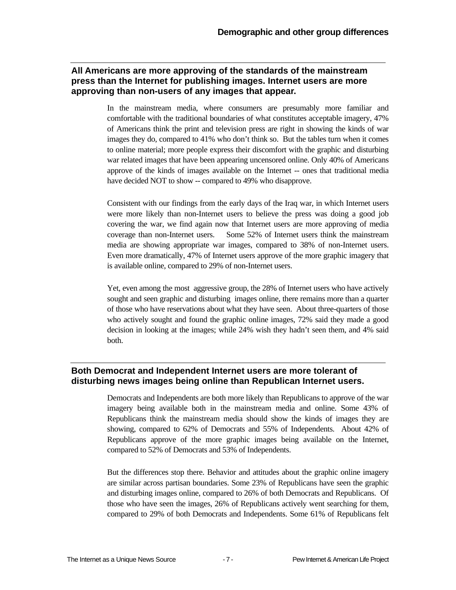#### **All Americans are more approving of the standards of the mainstream press than the Internet for publishing images. Internet users are more approving than non-users of any images that appear.**

In the mainstream media, where consumers are presumably more familiar and comfortable with the traditional boundaries of what constitutes acceptable imagery, 47% of Americans think the print and television press are right in showing the kinds of war images they do, compared to 41% who don't think so. But the tables turn when it comes to online material; more people express their discomfort with the graphic and disturbing war related images that have been appearing uncensored online. Only 40% of Americans approve of the kinds of images available on the Internet -- ones that traditional media have decided NOT to show -- compared to 49% who disapprove.

Consistent with our findings from the early days of the Iraq war, in which Internet users were more likely than non-Internet users to believe the press was doing a good job covering the war, we find again now that Internet users are more approving of media coverage than non-Internet users. Some 52% of Internet users think the mainstream media are showing appropriate war images, compared to 38% of non-Internet users. Even more dramatically, 47% of Internet users approve of the more graphic imagery that is available online, compared to 29% of non-Internet users.

Yet, even among the most aggressive group, the 28% of Internet users who have actively sought and seen graphic and disturbing images online, there remains more than a quarter of those who have reservations about what they have seen. About three-quarters of those who actively sought and found the graphic online images, 72% said they made a good decision in looking at the images; while 24% wish they hadn't seen them, and 4% said both.

#### **Both Democrat and Independent Internet users are more tolerant of disturbing news images being online than Republican Internet users.**

Democrats and Independents are both more likely than Republicans to approve of the war imagery being available both in the mainstream media and online. Some 43% of Republicans think the mainstream media should show the kinds of images they are showing, compared to 62% of Democrats and 55% of Independents. About 42% of Republicans approve of the more graphic images being available on the Internet, compared to 52% of Democrats and 53% of Independents.

But the differences stop there. Behavior and attitudes about the graphic online imagery are similar across partisan boundaries. Some 23% of Republicans have seen the graphic and disturbing images online, compared to 26% of both Democrats and Republicans. Of those who have seen the images, 26% of Republicans actively went searching for them, compared to 29% of both Democrats and Independents. Some 61% of Republicans felt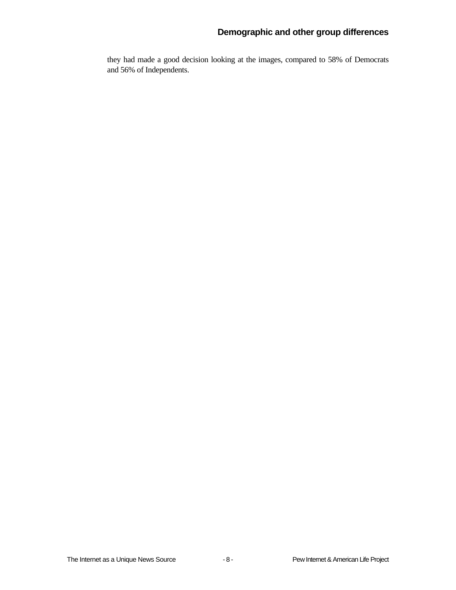they had made a good decision looking at the images, compared to 58% of Democrats and 56% of Independents.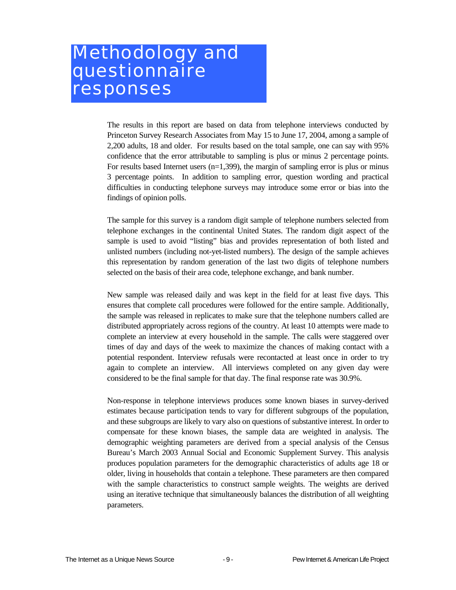## <span id="page-13-0"></span>Methodology and questionnaire responses

The results in this report are based on data from telephone interviews conducted by Princeton Survey Research Associates from May 15 to June 17, 2004, among a sample of 2,200 adults, 18 and older. For results based on the total sample, one can say with 95% confidence that the error attributable to sampling is plus or minus 2 percentage points. For results based Internet users  $(n=1,399)$ , the margin of sampling error is plus or minus 3 percentage points. In addition to sampling error, question wording and practical difficulties in conducting telephone surveys may introduce some error or bias into the findings of opinion polls.

The sample for this survey is a random digit sample of telephone numbers selected from telephone exchanges in the continental United States. The random digit aspect of the sample is used to avoid "listing" bias and provides representation of both listed and unlisted numbers (including not-yet-listed numbers). The design of the sample achieves this representation by random generation of the last two digits of telephone numbers selected on the basis of their area code, telephone exchange, and bank number.

New sample was released daily and was kept in the field for at least five days. This ensures that complete call procedures were followed for the entire sample. Additionally, the sample was released in replicates to make sure that the telephone numbers called are distributed appropriately across regions of the country. At least 10 attempts were made to complete an interview at every household in the sample. The calls were staggered over times of day and days of the week to maximize the chances of making contact with a potential respondent. Interview refusals were recontacted at least once in order to try again to complete an interview. All interviews completed on any given day were considered to be the final sample for that day. The final response rate was 30.9%.

Non-response in telephone interviews produces some known biases in survey-derived estimates because participation tends to vary for different subgroups of the population, and these subgroups are likely to vary also on questions of substantive interest. In order to compensate for these known biases, the sample data are weighted in analysis. The demographic weighting parameters are derived from a special analysis of the Census Bureau's March 2003 Annual Social and Economic Supplement Survey. This analysis produces population parameters for the demographic characteristics of adults age 18 or older, living in households that contain a telephone. These parameters are then compared with the sample characteristics to construct sample weights. The weights are derived using an iterative technique that simultaneously balances the distribution of all weighting parameters.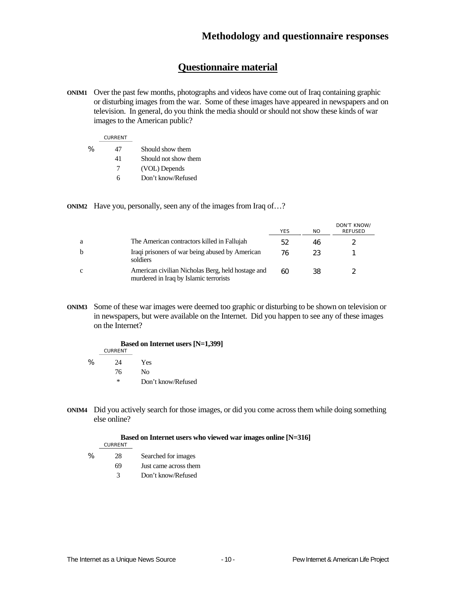#### **Questionnaire material**

**ONIM1** Over the past few months, photographs and videos have come out of Iraq containing graphic or disturbing images from the war. Some of these images have appeared in newspapers and on television. In general, do you think the media should or should not show these kinds of war images to the American public?

|   | CURRENT |                      |
|---|---------|----------------------|
| ℅ | 47      | Should show them     |
|   | 41      | Should not show them |
|   | 7       | (VOL) Depends        |
|   |         | Don't know/Refused   |

**ONIM2** Have you, personally, seen any of the images from Iraq of...?

|             |                                                                                             | <b>YES</b> | ΝO | DON'T KNOW/<br>REFUSED |
|-------------|---------------------------------------------------------------------------------------------|------------|----|------------------------|
| a           | The American contractors killed in Fallujah                                                 | 52         | 46 |                        |
| b           | Iraqi prisoners of war being abused by American<br>soldiers                                 | 76         | 23 |                        |
| $\mathbf c$ | American civilian Nicholas Berg, held hostage and<br>murdered in Iraq by Islamic terrorists | 60         | 38 |                        |

**ONIM3** Some of these war images were deemed too graphic or disturbing to be shown on television or in newspapers, but were available on the Internet. Did you happen to see any of these images on the Internet?

**Based on Internet users [N=1,399]** CURRENT % 24 Yes 76 No

- \* Don't know/Refused
- **ONIM4** Did you actively search for those images, or did you come across them while doing something else online?

#### **Based on Internet users who viewed war images online [N=316]**

- CURRENT
- % 28 Searched for images
	- 69 Just came across them
	- 3 Don't know/Refused